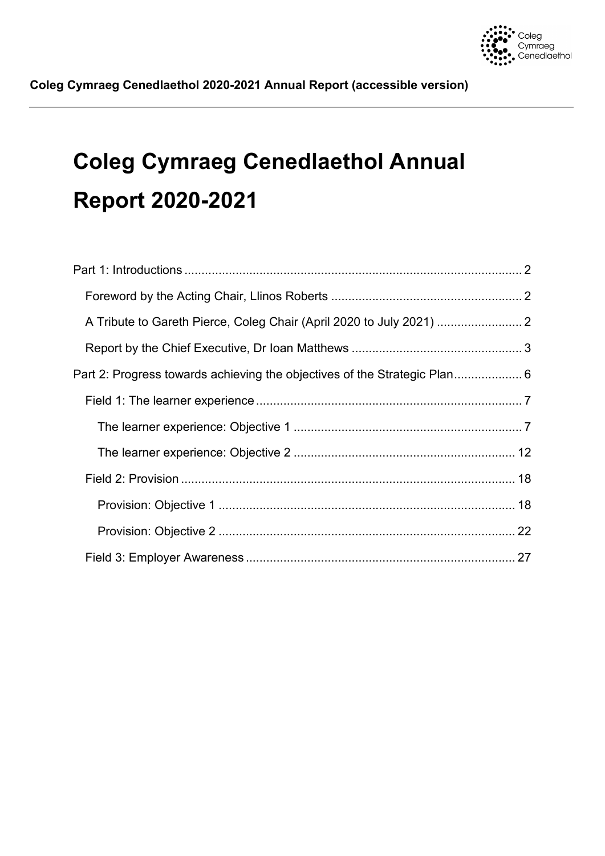

# **Coleg Cymraeg Cenedlaethol Annual Report 2020-2021**

| Part 2: Progress towards achieving the objectives of the Strategic Plan 6 |  |
|---------------------------------------------------------------------------|--|
|                                                                           |  |
|                                                                           |  |
|                                                                           |  |
|                                                                           |  |
|                                                                           |  |
|                                                                           |  |
|                                                                           |  |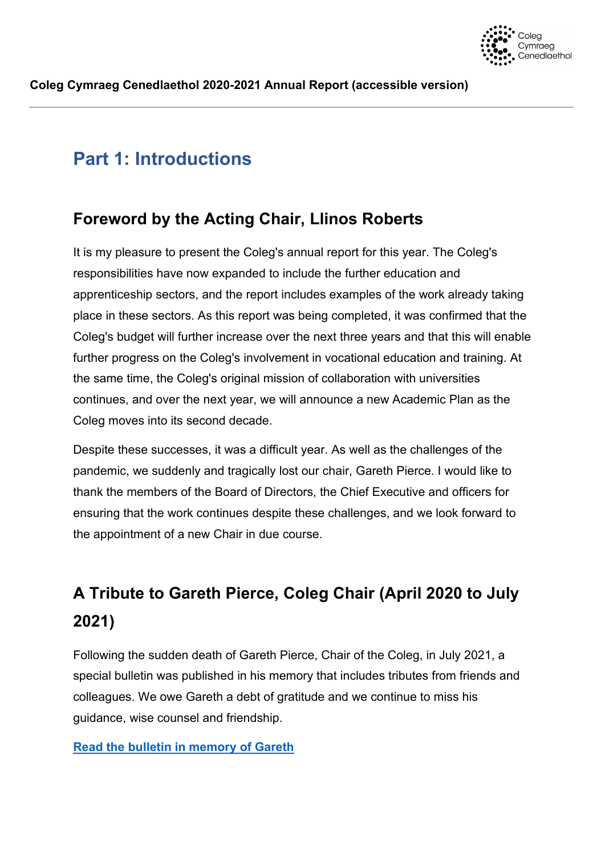

# <span id="page-1-0"></span>**Part 1: Introductions**

## <span id="page-1-1"></span>**Foreword by the Acting Chair, Llinos Roberts**

It is my pleasure to present the Coleg's annual report for this year. The Coleg's responsibilities have now expanded to include the further education and apprenticeship sectors, and the report includes examples of the work already taking place in these sectors. As this report was being completed, it was confirmed that the Coleg's budget will further increase over the next three years and that this will enable further progress on the Coleg's involvement in vocational education and training. At the same time, the Coleg's original mission of collaboration with universities continues, and over the next year, we will announce a new Academic Plan as the Coleg moves into its second decade.

Despite these successes, it was a difficult year. As well as the challenges of the pandemic, we suddenly and tragically lost our chair, Gareth Pierce. I would like to thank the members of the Board of Directors, the Chief Executive and officers for ensuring that the work continues despite these challenges, and we look forward to the appointment of a new Chair in due course.

# <span id="page-1-2"></span>**A Tribute to Gareth Pierce, Coleg Chair (April 2020 to July 2021)**

Following the sudden death of Gareth Pierce, Chair of the Coleg, in July 2021, a special bulletin was published in his memory that includes tributes from friends and colleagues. We owe Gareth a debt of gratitude and we continue to miss his guidance, wise counsel and friendship.

## **[Read the bulletin in memory of Gareth](https://sway.office.com/qnSVZTn0M9gunMYJ?ref=Link)**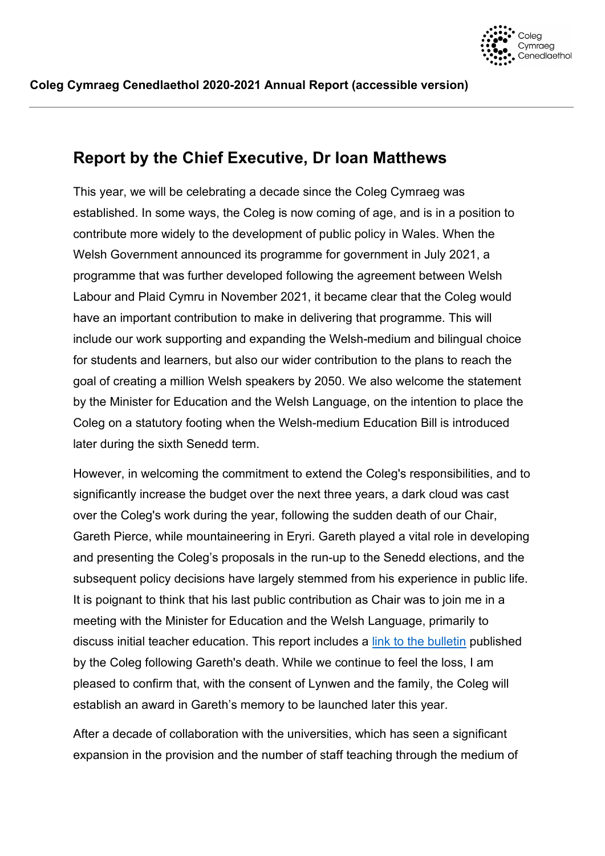

## <span id="page-2-0"></span>**Report by the Chief Executive, Dr Ioan Matthews**

This year, we will be celebrating a decade since the Coleg Cymraeg was established. In some ways, the Coleg is now coming of age, and is in a position to contribute more widely to the development of public policy in Wales. When the Welsh Government announced its programme for government in July 2021, a programme that was further developed following the agreement between Welsh Labour and Plaid Cymru in November 2021, it became clear that the Coleg would have an important contribution to make in delivering that programme. This will include our work supporting and expanding the Welsh-medium and bilingual choice for students and learners, but also our wider contribution to the plans to reach the goal of creating a million Welsh speakers by 2050. We also welcome the statement by the Minister for Education and the Welsh Language, on the intention to place the Coleg on a statutory footing when the Welsh-medium Education Bill is introduced later during the sixth Senedd term.

However, in welcoming the commitment to extend the Coleg's responsibilities, and to significantly increase the budget over the next three years, a dark cloud was cast over the Coleg's work during the year, following the sudden death of our Chair, Gareth Pierce, while mountaineering in Eryri. Gareth played a vital role in developing and presenting the Coleg's proposals in the run-up to the Senedd elections, and the subsequent policy decisions have largely stemmed from his experience in public life. It is poignant to think that his last public contribution as Chair was to join me in a meeting with the Minister for Education and the Welsh Language, primarily to discuss initial teacher education. This report includes a [link to the bulletin](https://sway.office.com/qnSVZTn0M9gunMYJ?ref=Link) published by the Coleg following Gareth's death. While we continue to feel the loss, I am pleased to confirm that, with the consent of Lynwen and the family, the Coleg will establish an award in Gareth's memory to be launched later this year.

After a decade of collaboration with the universities, which has seen a significant expansion in the provision and the number of staff teaching through the medium of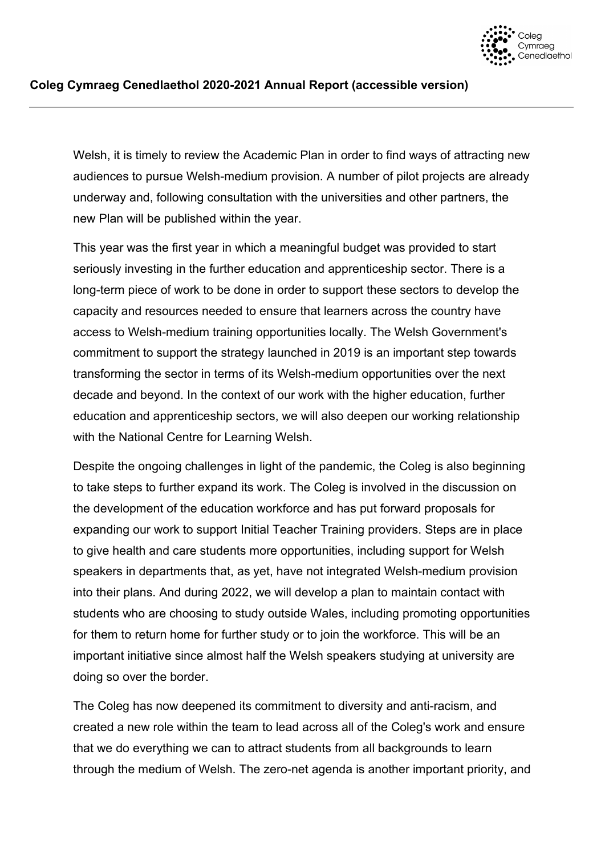

Welsh, it is timely to review the Academic Plan in order to find ways of attracting new audiences to pursue Welsh-medium provision. A number of pilot projects are already underway and, following consultation with the universities and other partners, the new Plan will be published within the year.

This year was the first year in which a meaningful budget was provided to start seriously investing in the further education and apprenticeship sector. There is a long-term piece of work to be done in order to support these sectors to develop the capacity and resources needed to ensure that learners across the country have access to Welsh-medium training opportunities locally. The Welsh Government's commitment to support the strategy launched in 2019 is an important step towards transforming the sector in terms of its Welsh-medium opportunities over the next decade and beyond. In the context of our work with the higher education, further education and apprenticeship sectors, we will also deepen our working relationship with the National Centre for Learning Welsh.

Despite the ongoing challenges in light of the pandemic, the Coleg is also beginning to take steps to further expand its work. The Coleg is involved in the discussion on the development of the education workforce and has put forward proposals for expanding our work to support Initial Teacher Training providers. Steps are in place to give health and care students more opportunities, including support for Welsh speakers in departments that, as yet, have not integrated Welsh-medium provision into their plans. And during 2022, we will develop a plan to maintain contact with students who are choosing to study outside Wales, including promoting opportunities for them to return home for further study or to join the workforce. This will be an important initiative since almost half the Welsh speakers studying at university are doing so over the border.

The Coleg has now deepened its commitment to diversity and anti-racism, and created a new role within the team to lead across all of the Coleg's work and ensure that we do everything we can to attract students from all backgrounds to learn through the medium of Welsh. The zero-net agenda is another important priority, and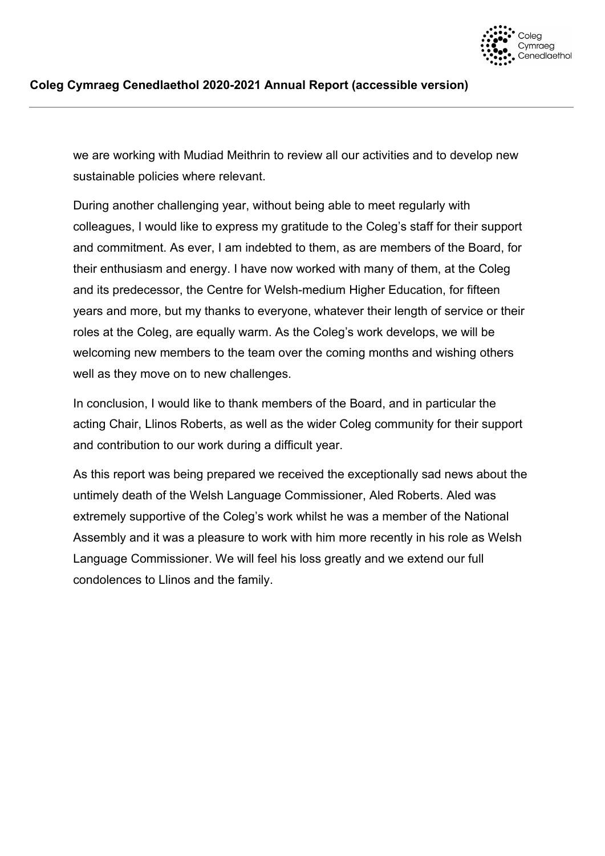

we are working with Mudiad Meithrin to review all our activities and to develop new sustainable policies where relevant.

During another challenging year, without being able to meet regularly with colleagues, I would like to express my gratitude to the Coleg's staff for their support and commitment. As ever, I am indebted to them, as are members of the Board, for their enthusiasm and energy. I have now worked with many of them, at the Coleg and its predecessor, the Centre for Welsh-medium Higher Education, for fifteen years and more, but my thanks to everyone, whatever their length of service or their roles at the Coleg, are equally warm. As the Coleg's work develops, we will be welcoming new members to the team over the coming months and wishing others well as they move on to new challenges.

In conclusion, I would like to thank members of the Board, and in particular the acting Chair, Llinos Roberts, as well as the wider Coleg community for their support and contribution to our work during a difficult year.

As this report was being prepared we received the exceptionally sad news about the untimely death of the Welsh Language Commissioner, Aled Roberts. Aled was extremely supportive of the Coleg's work whilst he was a member of the National Assembly and it was a pleasure to work with him more recently in his role as Welsh Language Commissioner. We will feel his loss greatly and we extend our full condolences to Llinos and the family.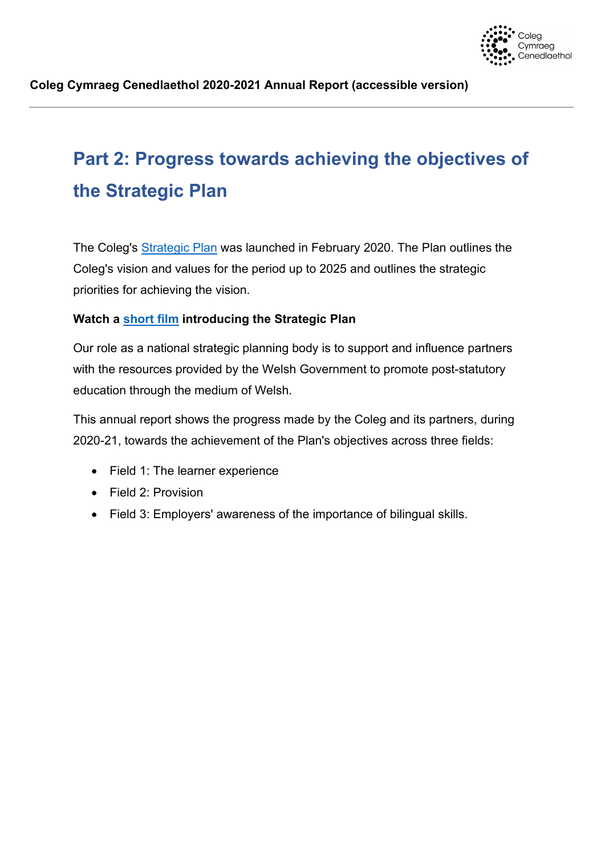

# <span id="page-5-0"></span>**Part 2: Progress towards achieving the objectives of the Strategic Plan**

The Coleg's [Strategic Plan](http://www.colegcymraeg.ac.uk/en/media/main/dogfennau-ccc/dogfennaucorfforaethol/Strategic-Plan.pdf) was launched in February 2020. The Plan outlines the Coleg's vision and values for the period up to 2025 and outlines the strategic priorities for achieving the vision.

## **Watch a [short film](http://www.colegcymraeg.ac.uk/en/aboutus/formsanddocuments/strategicplan/) introducing the Strategic Plan**

Our role as a national strategic planning body is to support and influence partners with the resources provided by the Welsh Government to promote post-statutory education through the medium of Welsh.

This annual report shows the progress made by the Coleg and its partners, during 2020-21, towards the achievement of the Plan's objectives across three fields:

- Field 1: The learner experience
- Field 2: Provision
- Field 3: Employers' awareness of the importance of bilingual skills.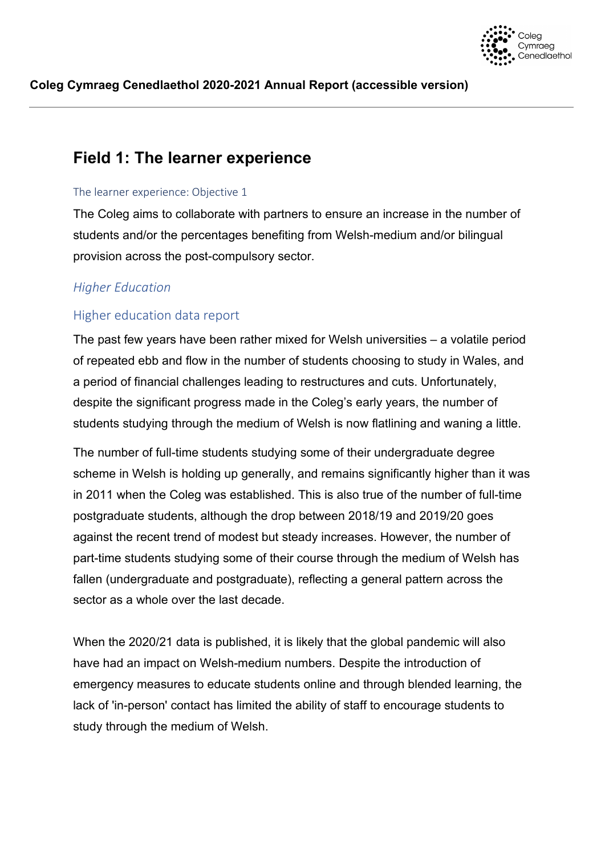

## <span id="page-6-0"></span>**Field 1: The learner experience**

#### <span id="page-6-1"></span>The learner experience: Objective 1

The Coleg aims to collaborate with partners to ensure an increase in the number of students and/or the percentages benefiting from Welsh-medium and/or bilingual provision across the post-compulsory sector.

## *Higher Education*

## Higher education data report

The past few years have been rather mixed for Welsh universities – a volatile period of repeated ebb and flow in the number of students choosing to study in Wales, and a period of financial challenges leading to restructures and cuts. Unfortunately, despite the significant progress made in the Coleg's early years, the number of students studying through the medium of Welsh is now flatlining and waning a little.

The number of full-time students studying some of their undergraduate degree scheme in Welsh is holding up generally, and remains significantly higher than it was in 2011 when the Coleg was established. This is also true of the number of full-time postgraduate students, although the drop between 2018/19 and 2019/20 goes against the recent trend of modest but steady increases. However, the number of part-time students studying some of their course through the medium of Welsh has fallen (undergraduate and postgraduate), reflecting a general pattern across the sector as a whole over the last decade.

When the 2020/21 data is published, it is likely that the global pandemic will also have had an impact on Welsh-medium numbers. Despite the introduction of emergency measures to educate students online and through blended learning, the lack of 'in-person' contact has limited the ability of staff to encourage students to study through the medium of Welsh.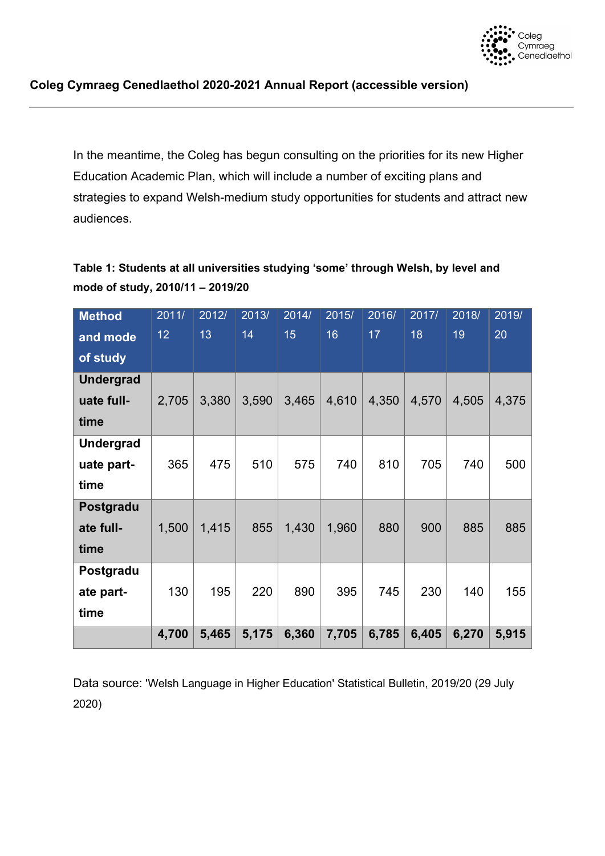

In the meantime, the Coleg has begun consulting on the priorities for its new Higher Education Academic Plan, which will include a number of exciting plans and strategies to expand Welsh-medium study opportunities for students and attract new audiences.

## **Table 1: Students at all universities studying 'some' through Welsh, by level and mode of study, 2010/11 – 2019/20**

| <b>Method</b>    | 2011/ | 2012/ | 2013/ | 2014/ | 2015/ | 2016/ | 2017/ | 2018/ | 2019/ |
|------------------|-------|-------|-------|-------|-------|-------|-------|-------|-------|
| and mode         | 12    | 13    | 14    | 15    | 16    | 17    | 18    | 19    | 20    |
| of study         |       |       |       |       |       |       |       |       |       |
| <b>Undergrad</b> |       |       |       |       |       |       |       |       |       |
| uate full-       | 2,705 | 3,380 | 3,590 | 3,465 | 4,610 | 4,350 | 4,570 | 4,505 | 4,375 |
| time             |       |       |       |       |       |       |       |       |       |
| <b>Undergrad</b> |       |       |       |       |       |       |       |       |       |
| uate part-       | 365   | 475   | 510   | 575   | 740   | 810   | 705   | 740   | 500   |
| time             |       |       |       |       |       |       |       |       |       |
| Postgradu        |       |       |       |       |       |       |       |       |       |
| ate full-        | 1,500 | 1,415 | 855   | 1,430 | 1,960 | 880   | 900   | 885   | 885   |
| time             |       |       |       |       |       |       |       |       |       |
| Postgradu        |       |       |       |       |       |       |       |       |       |
| ate part-        | 130   | 195   | 220   | 890   | 395   | 745   | 230   | 140   | 155   |
| time             |       |       |       |       |       |       |       |       |       |
|                  | 4,700 | 5,465 | 5,175 | 6,360 | 7,705 | 6,785 | 6,405 | 6,270 | 5,915 |

Data source: 'Welsh Language in Higher Education' Statistical Bulletin, 2019/20 (29 July 2020)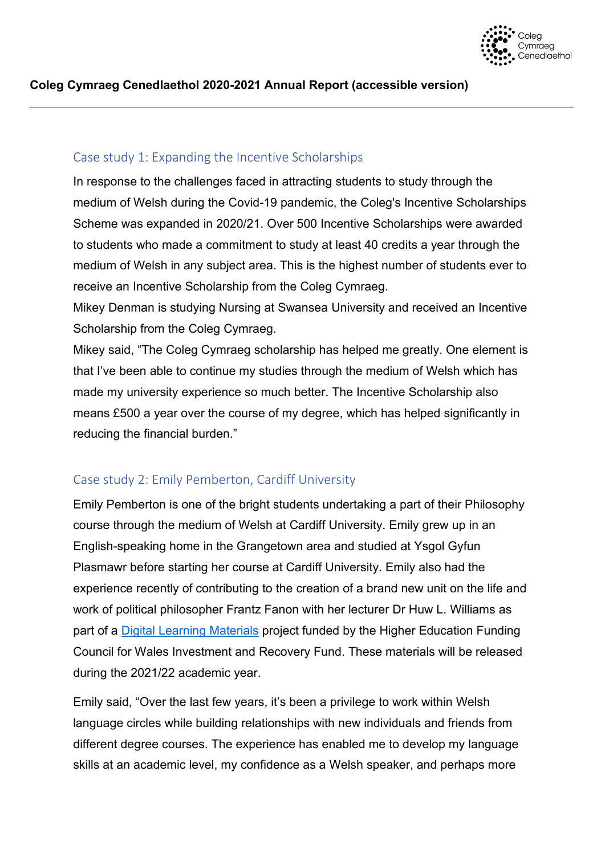

## Case study 1: Expanding the Incentive Scholarships

In response to the challenges faced in attracting students to study through the medium of Welsh during the Covid-19 pandemic, the Coleg's Incentive Scholarships Scheme was expanded in 2020/21. Over 500 Incentive Scholarships were awarded to students who made a commitment to study at least 40 credits a year through the medium of Welsh in any subject area. This is the highest number of students ever to receive an Incentive Scholarship from the Coleg Cymraeg.

Mikey Denman is studying Nursing at Swansea University and received an Incentive Scholarship from the Coleg Cymraeg.

Mikey said, "The Coleg Cymraeg scholarship has helped me greatly. One element is that I've been able to continue my studies through the medium of Welsh which has made my university experience so much better. The Incentive Scholarship also means £500 a year over the course of my degree, which has helped significantly in reducing the financial burden."

## Case study 2: Emily Pemberton, Cardiff University

Emily Pemberton is one of the bright students undertaking a part of their Philosophy course through the medium of Welsh at Cardiff University. Emily grew up in an English-speaking home in the Grangetown area and studied at Ysgol Gyfun Plasmawr before starting her course at Cardiff University. Emily also had the experience recently of contributing to the creation of a brand new unit on the life and work of political philosopher Frantz Fanon with her lecturer Dr Huw L. Williams as part of a [Digital Learning Materials](https://www.colegcymraeg.ac.uk/en/aboutus/news/pennawd-12237-en.aspx) project funded by the Higher Education Funding Council for Wales Investment and Recovery Fund. These materials will be released during the 2021/22 academic year.

Emily said, "Over the last few years, it's been a privilege to work within Welsh language circles while building relationships with new individuals and friends from different degree courses. The experience has enabled me to develop my language skills at an academic level, my confidence as a Welsh speaker, and perhaps more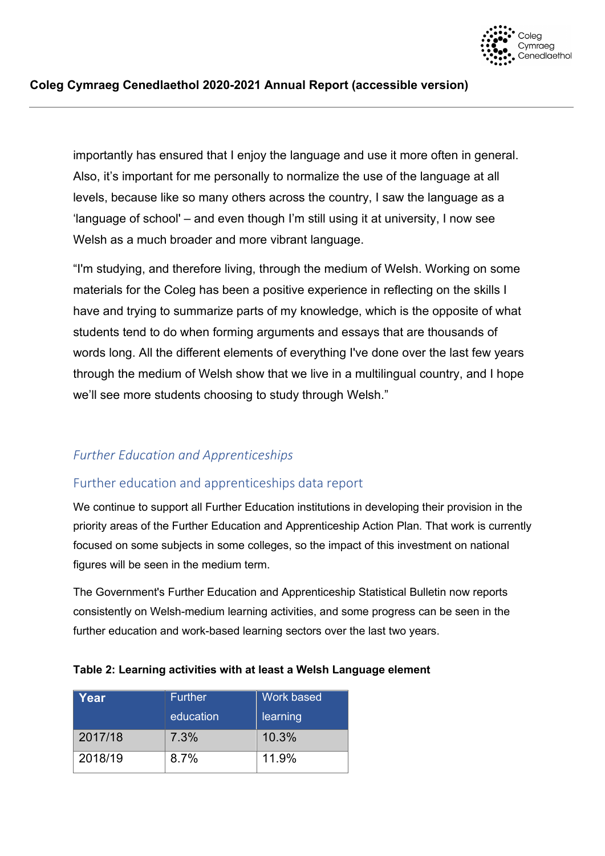

importantly has ensured that I enjoy the language and use it more often in general. Also, it's important for me personally to normalize the use of the language at all levels, because like so many others across the country, I saw the language as a 'language of school' – and even though I'm still using it at university, I now see Welsh as a much broader and more vibrant language.

"I'm studying, and therefore living, through the medium of Welsh. Working on some materials for the Coleg has been a positive experience in reflecting on the skills I have and trying to summarize parts of my knowledge, which is the opposite of what students tend to do when forming arguments and essays that are thousands of words long. All the different elements of everything I've done over the last few years through the medium of Welsh show that we live in a multilingual country, and I hope we'll see more students choosing to study through Welsh."

## *Further Education and Apprenticeships*

## Further education and apprenticeships data report

We continue to support all Further Education institutions in developing their provision in the priority areas of the Further Education and Apprenticeship Action Plan. That work is currently focused on some subjects in some colleges, so the impact of this investment on national figures will be seen in the medium term.

The Government's Further Education and Apprenticeship Statistical Bulletin now reports consistently on Welsh-medium learning activities, and some progress can be seen in the further education and work-based learning sectors over the last two years.

| Year    | <b>Further</b> | Work based |
|---------|----------------|------------|
|         | education      | learning   |
| 2017/18 | 7.3%           | 10.3%      |
| 2018/19 | 8.7%           | 11.9%      |

#### **Table 2: Learning activities with at least a Welsh Language element**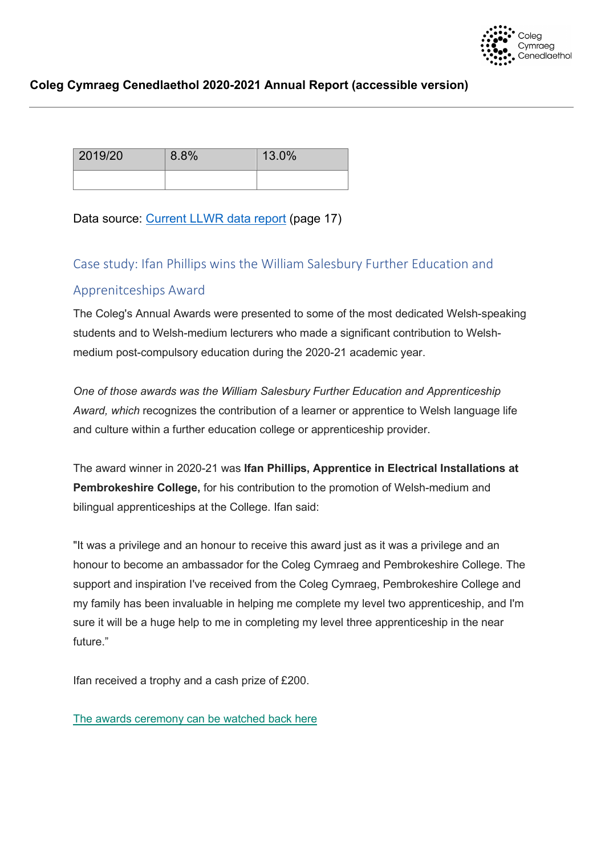

| 2019/20 | 8.8% | 13.0% |  |
|---------|------|-------|--|
|         |      |       |  |

Data source: [Current LLWR data report](https://gov.wales/sites/default/files/statistics-and-research/2021-02/further-education-work-based-learning-and-adult-learning-august-2019-july-2020-643.pdf) (page 17)

## Case study: Ifan Phillips wins the William Salesbury Further Education and

## Apprenitceships Award

The Coleg's Annual Awards were presented to some of the most dedicated Welsh-speaking students and to Welsh-medium lecturers who made a significant contribution to Welshmedium post-compulsory education during the 2020-21 academic year.

*One of those awards was the William Salesbury Further Education and Apprenticeship Award, which* recognizes the contribution of a learner or apprentice to Welsh language life and culture within a further education college or apprenticeship provider.

The award winner in 2020-21 was **Ifan Phillips, Apprentice in Electrical Installations at Pembrokeshire College,** for his contribution to the promotion of Welsh-medium and bilingual apprenticeships at the College. Ifan said:

"It was a privilege and an honour to receive this award just as it was a privilege and an honour to become an ambassador for the Coleg Cymraeg and Pembrokeshire College. The support and inspiration I've received from the Coleg Cymraeg, Pembrokeshire College and my family has been invaluable in helping me complete my level two apprenticeship, and I'm sure it will be a huge help to me in completing my level three apprenticeship in the near future."

Ifan received a trophy and a cash prize of £200.

[The awards ceremony can be watched back here](https://youtu.be/CDZSp__yTAY)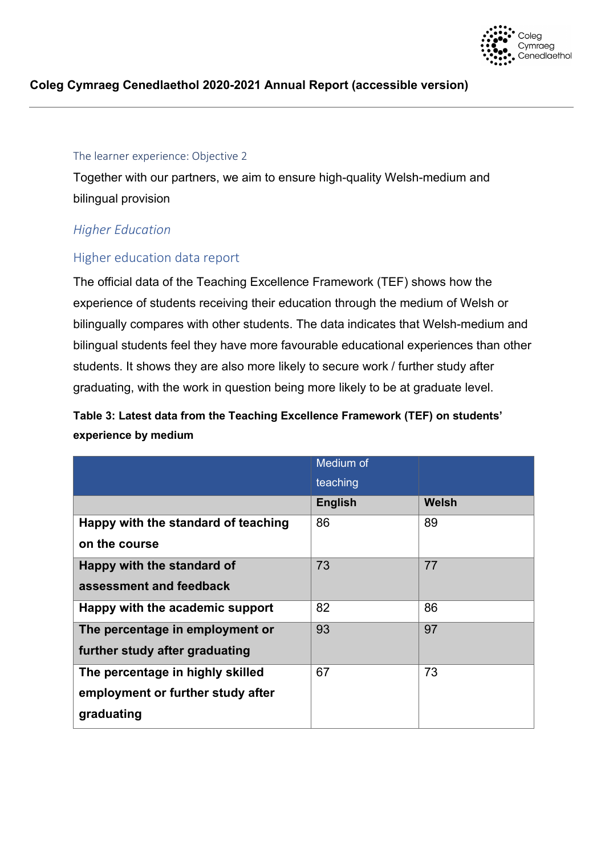

#### <span id="page-11-0"></span>The learner experience: Objective 2

Together with our partners, we aim to ensure high-quality Welsh-medium and bilingual provision

## *Higher Education*

## Higher education data report

The official data of the Teaching Excellence Framework (TEF) shows how the experience of students receiving their education through the medium of Welsh or bilingually compares with other students. The data indicates that Welsh-medium and bilingual students feel they have more favourable educational experiences than other students. It shows they are also more likely to secure work / further study after graduating, with the work in question being more likely to be at graduate level.

## **Table 3: Latest data from the Teaching Excellence Framework (TEF) on students' experience by medium**

|                                     | Medium of      |       |
|-------------------------------------|----------------|-------|
|                                     | teaching       |       |
|                                     | <b>English</b> | Welsh |
| Happy with the standard of teaching | 86             | 89    |
| on the course                       |                |       |
| Happy with the standard of          | 73             | 77    |
| assessment and feedback             |                |       |
| Happy with the academic support     | 82             | 86    |
| The percentage in employment or     | 93             | 97    |
| further study after graduating      |                |       |
| The percentage in highly skilled    | 67             | 73    |
| employment or further study after   |                |       |
| graduating                          |                |       |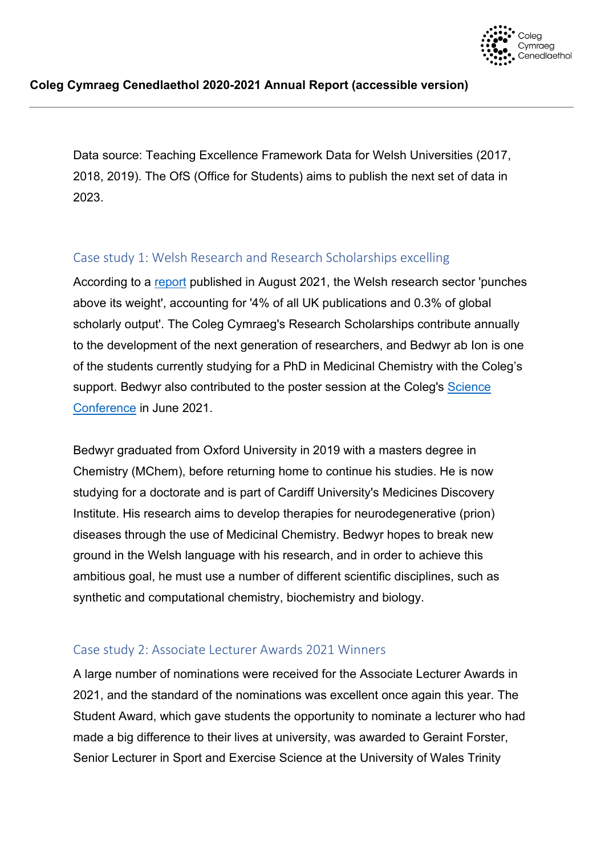

Data source: Teaching Excellence Framework Data for Welsh Universities (2017, 2018, 2019). The OfS (Office for Students) aims to publish the next set of data in 2023.

## Case study 1: Welsh Research and Research Scholarships excelling

According to a [report](https://gov.wales/performance-based-assessment-welsh-research-base) published in August 2021, the Welsh research sector 'punches above its weight', accounting for '4% of all UK publications and 0.3% of global scholarly output'. The Coleg Cymraeg's Research Scholarships contribute annually to the development of the next generation of researchers, and Bedwyr ab Ion is one of the students currently studying for a PhD in Medicinal Chemistry with the Coleg's support. Bedwyr also contributed to the poster session at the Coleg's [Science](https://www.porth.ac.uk/en/collection/cynhadledd-wyddonol-2021)  [Conference](https://www.porth.ac.uk/en/collection/cynhadledd-wyddonol-2021) in June 2021.

Bedwyr graduated from Oxford University in 2019 with a masters degree in Chemistry (MChem), before returning home to continue his studies. He is now studying for a doctorate and is part of Cardiff University's Medicines Discovery Institute. His research aims to develop therapies for neurodegenerative (prion) diseases through the use of Medicinal Chemistry. Bedwyr hopes to break new ground in the Welsh language with his research, and in order to achieve this ambitious goal, he must use a number of different scientific disciplines, such as synthetic and computational chemistry, biochemistry and biology.

## Case study 2: Associate Lecturer Awards 2021 Winners

A large number of nominations were received for the Associate Lecturer Awards in 2021, and the standard of the nominations was excellent once again this year. The Student Award, which gave students the opportunity to nominate a lecturer who had made a big difference to their lives at university, was awarded to Geraint Forster, Senior Lecturer in Sport and Exercise Science at the University of Wales Trinity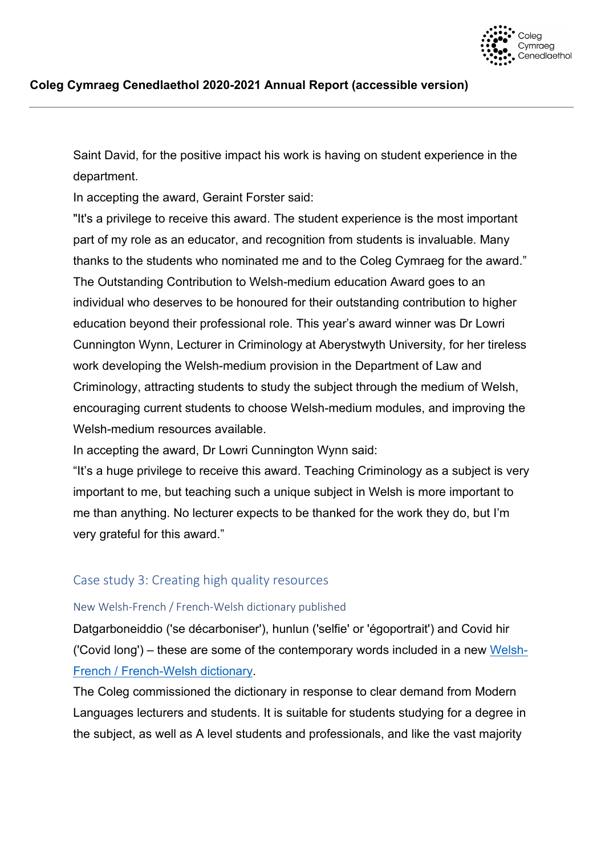

Saint David, for the positive impact his work is having on student experience in the department.

In accepting the award, Geraint Forster said:

"It's a privilege to receive this award. The student experience is the most important part of my role as an educator, and recognition from students is invaluable. Many thanks to the students who nominated me and to the Coleg Cymraeg for the award." The Outstanding Contribution to Welsh-medium education Award goes to an individual who deserves to be honoured for their outstanding contribution to higher education beyond their professional role. This year's award winner was Dr Lowri Cunnington Wynn, Lecturer in Criminology at Aberystwyth University, for her tireless work developing the Welsh-medium provision in the Department of Law and Criminology, attracting students to study the subject through the medium of Welsh, encouraging current students to choose Welsh-medium modules, and improving the Welsh-medium resources available.

In accepting the award, Dr Lowri Cunnington Wynn said:

"It's a huge privilege to receive this award. Teaching Criminology as a subject is very important to me, but teaching such a unique subject in Welsh is more important to me than anything. No lecturer expects to be thanked for the work they do, but I'm very grateful for this award."

## Case study 3: Creating high quality resources

#### New Welsh-French / French-Welsh dictionary published

Datgarboneiddio ('se décarboniser'), hunlun ('selfie' or 'égoportrait') and Covid hir ('Covid long') – these are some of the contemporary words included in a new [Welsh-](https://colegcymraeg.sharepoint.com/sites/MewnRwyd/dogfennau/Llywodraethiant/Adroddiad%20Blynyddol/Adroddiad%20Blynyddol%202020-21/Adran%201%20-%20y%20prif%20adroddiad%20-%20testun/geiriadurffrangeg.cymru)[French / French-Welsh dictionary.](https://colegcymraeg.sharepoint.com/sites/MewnRwyd/dogfennau/Llywodraethiant/Adroddiad%20Blynyddol/Adroddiad%20Blynyddol%202020-21/Adran%201%20-%20y%20prif%20adroddiad%20-%20testun/geiriadurffrangeg.cymru)

The Coleg commissioned the dictionary in response to clear demand from Modern Languages lecturers and students. It is suitable for students studying for a degree in the subject, as well as A level students and professionals, and like the vast majority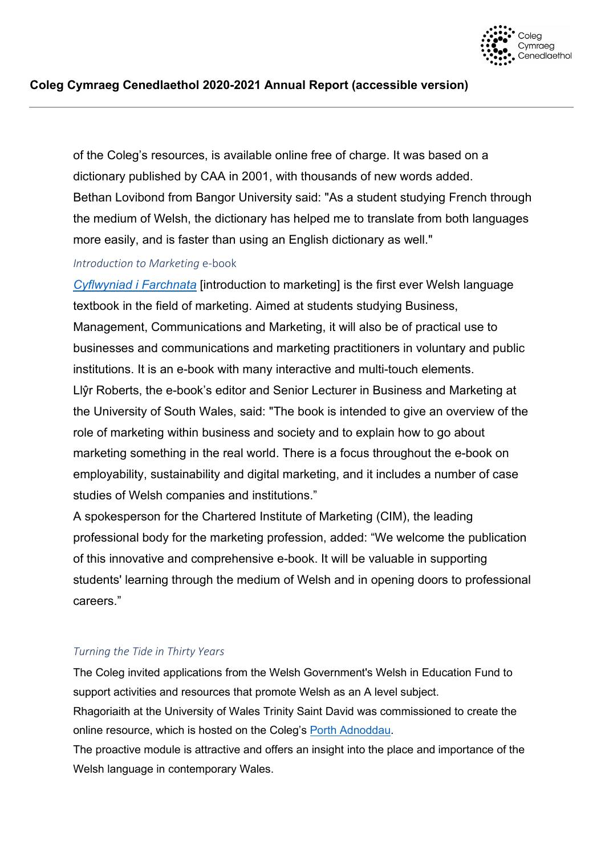

of the Coleg's resources, is available online free of charge. It was based on a dictionary published by CAA in 2001, with thousands of new words added. Bethan Lovibond from Bangor University said: "As a student studying French through the medium of Welsh, the dictionary has helped me to translate from both languages more easily, and is faster than using an English dictionary as well."

#### *Introduction to Marketing* e-book

*[Cyflwyniad i Farchnata](https://www.porth.ac.uk/en/collection/e-lyfr-cyflwyniad-i-farchnata)* [introduction to marketing] is the first ever Welsh language textbook in the field of marketing. Aimed at students studying Business, Management, Communications and Marketing, it will also be of practical use to businesses and communications and marketing practitioners in voluntary and public institutions. It is an e-book with many interactive and multi-touch elements. Llŷr Roberts, the e-book's editor and Senior Lecturer in Business and Marketing at the University of South Wales, said: "The book is intended to give an overview of the role of marketing within business and society and to explain how to go about marketing something in the real world. There is a focus throughout the e-book on employability, sustainability and digital marketing, and it includes a number of case studies of Welsh companies and institutions."

A spokesperson for the Chartered Institute of Marketing (CIM), the leading professional body for the marketing profession, added: "We welcome the publication of this innovative and comprehensive e-book. It will be valuable in supporting students' learning through the medium of Welsh and in opening doors to professional careers."

#### *Turning the Tide in Thirty Years*

The Coleg invited applications from the Welsh Government's Welsh in Education Fund to support activities and resources that promote Welsh as an A level subject. Rhagoriaith at the University of Wales Trinity Saint David was commissioned to create the

online resource, which is hosted on the Coleg's [Porth Adnoddau.](https://www.porth.ac.uk/en/collection/troi-r-trai-mewn-trideg-mlynedd-pwysigrwydd-y-gymraeg-yn-y-gymru-fodern)

The proactive module is attractive and offers an insight into the place and importance of the Welsh language in contemporary Wales.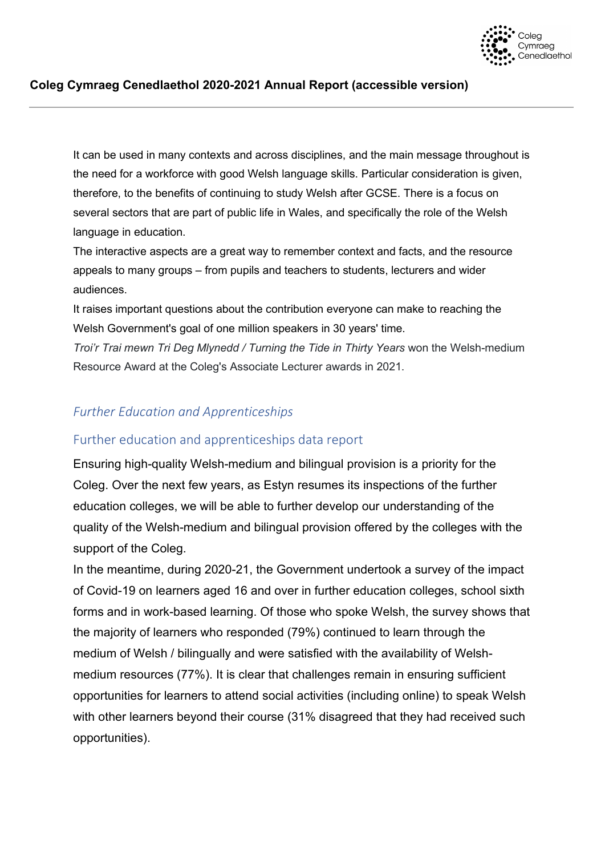

It can be used in many contexts and across disciplines, and the main message throughout is the need for a workforce with good Welsh language skills. Particular consideration is given, therefore, to the benefits of continuing to study Welsh after GCSE. There is a focus on several sectors that are part of public life in Wales, and specifically the role of the Welsh language in education.

The interactive aspects are a great way to remember context and facts, and the resource appeals to many groups – from pupils and teachers to students, lecturers and wider audiences.

It raises important questions about the contribution everyone can make to reaching the Welsh Government's goal of one million speakers in 30 years' time.

*Troi'r Trai mewn Tri Deg Mlynedd / Turning the Tide in Thirty Years* won the Welsh-medium Resource Award at the Coleg's Associate Lecturer awards in 2021.

## *Further Education and Apprenticeships*

## Further education and apprenticeships data report

Ensuring high-quality Welsh-medium and bilingual provision is a priority for the Coleg. Over the next few years, as Estyn resumes its inspections of the further education colleges, we will be able to further develop our understanding of the quality of the Welsh-medium and bilingual provision offered by the colleges with the support of the Coleg.

In the meantime, during 2020-21, the Government undertook a survey of the impact of Covid-19 on learners aged 16 and over in further education colleges, school sixth forms and in work-based learning. Of those who spoke Welsh, the survey shows that the majority of learners who responded (79%) continued to learn through the medium of Welsh / bilingually and were satisfied with the availability of Welshmedium resources (77%). It is clear that challenges remain in ensuring sufficient opportunities for learners to attend social activities (including online) to speak Welsh with other learners beyond their course (31% disagreed that they had received such opportunities).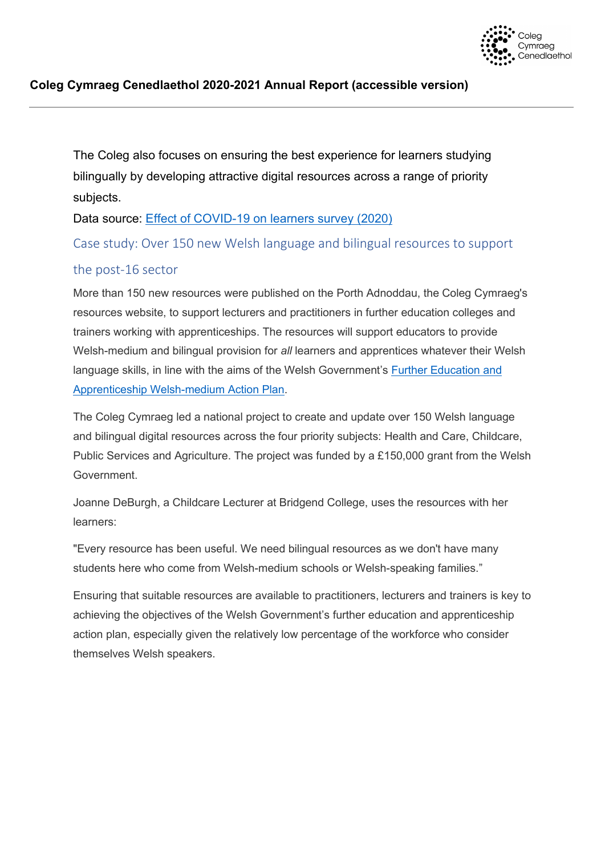

The Coleg also focuses on ensuring the best experience for learners studying bilingually by developing attractive digital resources across a range of priority subjects.

Data source: [Effect of COVID-19 on learners survey \(2020\)](https://gov.wales/sites/default/files/statistics-and-research/2021-03/survey-of-effect-of-covid-19-on-learners-2020-results-summary.pdf) 

Case study: Over 150 new Welsh language and bilingual resources to support

## the post-16 sector

More than 150 new resources were published on the Porth Adnoddau, the Coleg Cymraeg's resources website, to support lecturers and practitioners in further education colleges and trainers working with apprenticeships. The resources will support educators to provide Welsh-medium and bilingual provision for *all* learners and apprentices whatever their Welsh language skills, in line with the aims of the Welsh Government's [Further Education and](http://www.colegcymraeg.ac.uk/en/study/furthereducationandapprenticeships/cymraeg2050/)  [Apprenticeship Welsh-medium Action Plan.](http://www.colegcymraeg.ac.uk/en/study/furthereducationandapprenticeships/cymraeg2050/)

The Coleg Cymraeg led a national project to create and update over 150 Welsh language and bilingual digital resources across the four priority subjects: Health and Care, Childcare, Public Services and Agriculture. The project was funded by a £150,000 grant from the Welsh Government.

Joanne DeBurgh, a Childcare Lecturer at Bridgend College, uses the resources with her learners:

"Every resource has been useful. We need bilingual resources as we don't have many students here who come from Welsh-medium schools or Welsh-speaking families."

Ensuring that suitable resources are available to practitioners, lecturers and trainers is key to achieving the objectives of the Welsh Government's further education and apprenticeship action plan, especially given the relatively low percentage of the workforce who consider themselves Welsh speakers.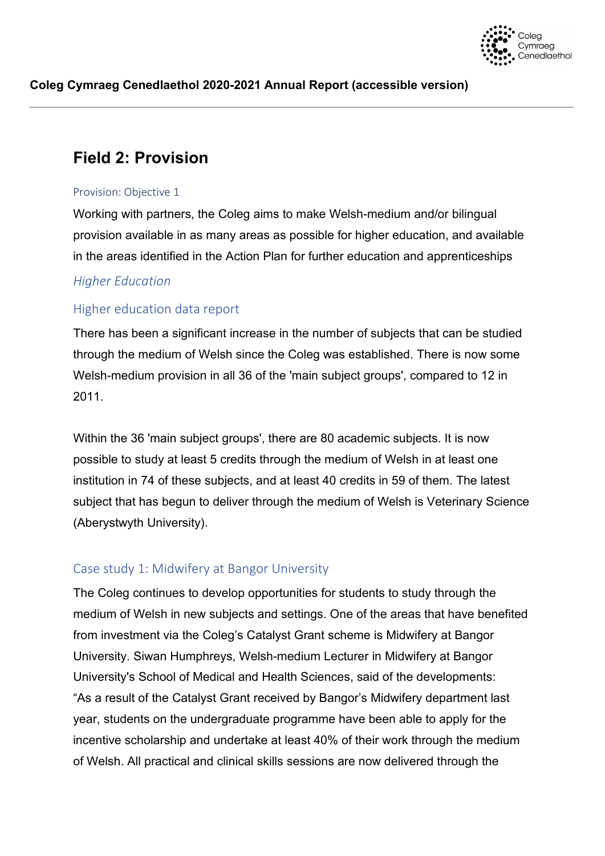

## <span id="page-17-0"></span>**Field 2: Provision**

#### <span id="page-17-1"></span>Provision: Objective 1

Working with partners, the Coleg aims to make Welsh-medium and/or bilingual provision available in as many areas as possible for higher education, and available in the areas identified in the Action Plan for further education and apprenticeships

## *Higher Education*

## Higher education data report

There has been a significant increase in the number of subjects that can be studied through the medium of Welsh since the Coleg was established. There is now some Welsh-medium provision in all 36 of the 'main subject groups', compared to 12 in 2011.

Within the 36 'main subject groups', there are 80 academic subjects. It is now possible to study at least 5 credits through the medium of Welsh in at least one institution in 74 of these subjects, and at least 40 credits in 59 of them. The latest subject that has begun to deliver through the medium of Welsh is Veterinary Science (Aberystwyth University).

## Case study 1: Midwifery at Bangor University

The Coleg continues to develop opportunities for students to study through the medium of Welsh in new subjects and settings. One of the areas that have benefited from investment via the Coleg's Catalyst Grant scheme is Midwifery at Bangor University. Siwan Humphreys, Welsh-medium Lecturer in Midwifery at Bangor University's School of Medical and Health Sciences, said of the developments: "As a result of the Catalyst Grant received by Bangor's Midwifery department last year, students on the undergraduate programme have been able to apply for the incentive scholarship and undertake at least 40% of their work through the medium of Welsh. All practical and clinical skills sessions are now delivered through the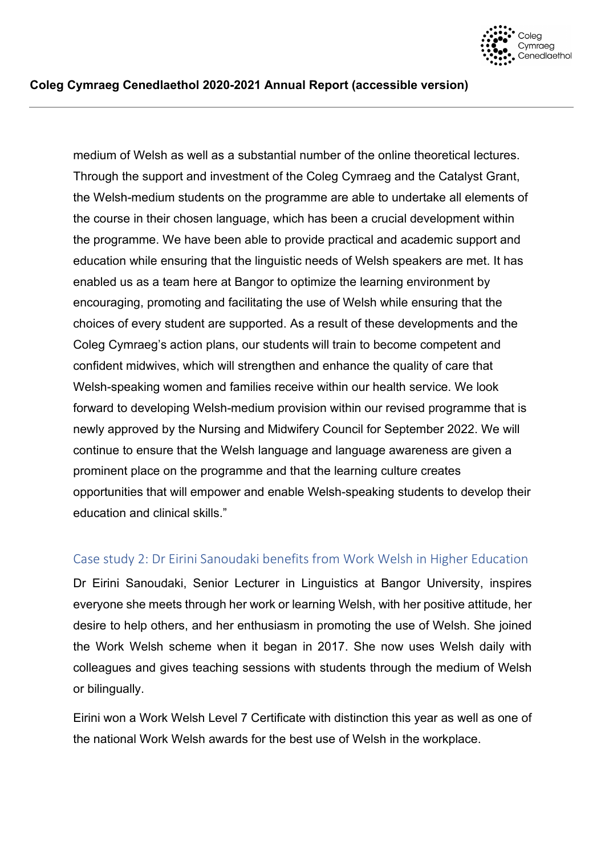

medium of Welsh as well as a substantial number of the online theoretical lectures. Through the support and investment of the Coleg Cymraeg and the Catalyst Grant, the Welsh-medium students on the programme are able to undertake all elements of the course in their chosen language, which has been a crucial development within the programme. We have been able to provide practical and academic support and education while ensuring that the linguistic needs of Welsh speakers are met. It has enabled us as a team here at Bangor to optimize the learning environment by encouraging, promoting and facilitating the use of Welsh while ensuring that the choices of every student are supported. As a result of these developments and the Coleg Cymraeg's action plans, our students will train to become competent and confident midwives, which will strengthen and enhance the quality of care that Welsh-speaking women and families receive within our health service. We look forward to developing Welsh-medium provision within our revised programme that is newly approved by the Nursing and Midwifery Council for September 2022. We will continue to ensure that the Welsh language and language awareness are given a prominent place on the programme and that the learning culture creates opportunities that will empower and enable Welsh-speaking students to develop their education and clinical skills."

## Case study 2: Dr Eirini Sanoudaki benefits from Work Welsh in Higher Education

Dr Eirini Sanoudaki, Senior Lecturer in Linguistics at Bangor University, inspires everyone she meets through her work or learning Welsh, with her positive attitude, her desire to help others, and her enthusiasm in promoting the use of Welsh. She joined the Work Welsh scheme when it began in 2017. She now uses Welsh daily with colleagues and gives teaching sessions with students through the medium of Welsh or bilingually.

Eirini won a Work Welsh Level 7 Certificate with distinction this year as well as one of the national Work Welsh awards for the best use of Welsh in the workplace.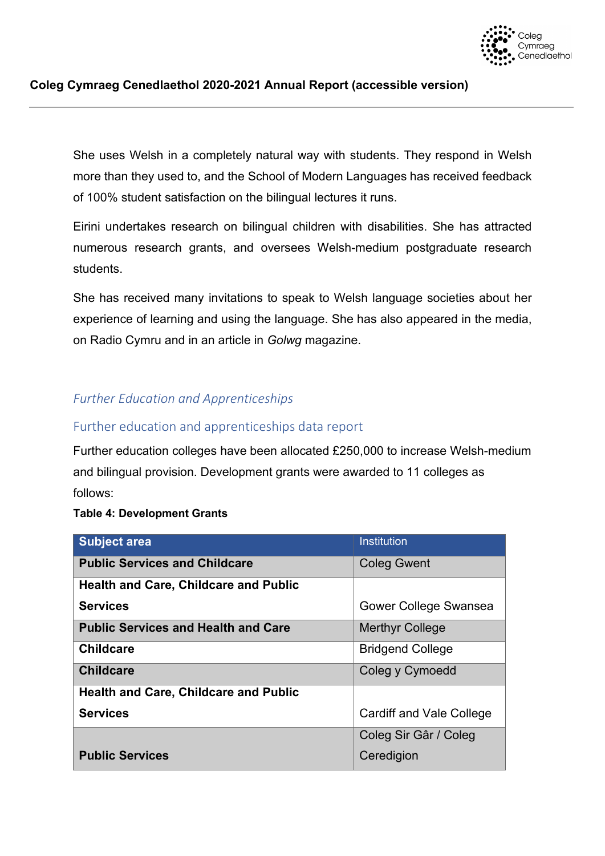

She uses Welsh in a completely natural way with students. They respond in Welsh more than they used to, and the School of Modern Languages has received feedback of 100% student satisfaction on the bilingual lectures it runs.

Eirini undertakes research on bilingual children with disabilities. She has attracted numerous research grants, and oversees Welsh-medium postgraduate research students.

She has received many invitations to speak to Welsh language societies about her experience of learning and using the language. She has also appeared in the media, on Radio Cymru and in an article in *Golwg* magazine.

## *Further Education and Apprenticeships*

## Further education and apprenticeships data report

Further education colleges have been allocated £250,000 to increase Welsh-medium and bilingual provision. Development grants were awarded to 11 colleges as follows:

#### **Table 4: Development Grants**

| <b>Subject area</b>                          | <b>Institution</b>       |
|----------------------------------------------|--------------------------|
| <b>Public Services and Childcare</b>         | <b>Coleg Gwent</b>       |
| <b>Health and Care, Childcare and Public</b> |                          |
| <b>Services</b>                              | Gower College Swansea    |
| <b>Public Services and Health and Care</b>   | <b>Merthyr College</b>   |
| <b>Childcare</b>                             | <b>Bridgend College</b>  |
| <b>Childcare</b>                             | Coleg y Cymoedd          |
| <b>Health and Care, Childcare and Public</b> |                          |
| <b>Services</b>                              | Cardiff and Vale College |
|                                              | Coleg Sir Gâr / Coleg    |
| <b>Public Services</b>                       | Ceredigion               |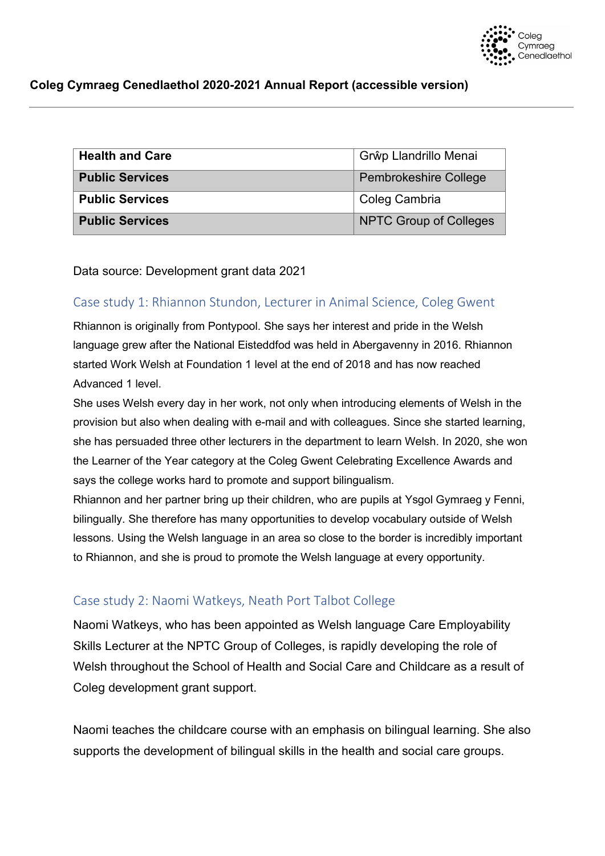

| <b>Health and Care</b> | Grŵp Llandrillo Menai         |
|------------------------|-------------------------------|
| <b>Public Services</b> | <b>Pembrokeshire College</b>  |
| <b>Public Services</b> | Coleg Cambria                 |
| <b>Public Services</b> | <b>NPTC Group of Colleges</b> |

Data source: Development grant data 2021

## Case study 1: Rhiannon Stundon, Lecturer in Animal Science, Coleg Gwent

Rhiannon is originally from Pontypool. She says her interest and pride in the Welsh language grew after the National Eisteddfod was held in Abergavenny in 2016. Rhiannon started Work Welsh at Foundation 1 level at the end of 2018 and has now reached Advanced 1 level.

She uses Welsh every day in her work, not only when introducing elements of Welsh in the provision but also when dealing with e-mail and with colleagues. Since she started learning, she has persuaded three other lecturers in the department to learn Welsh. In 2020, she won the Learner of the Year category at the Coleg Gwent Celebrating Excellence Awards and says the college works hard to promote and support bilingualism.

Rhiannon and her partner bring up their children, who are pupils at Ysgol Gymraeg y Fenni, bilingually. She therefore has many opportunities to develop vocabulary outside of Welsh lessons. Using the Welsh language in an area so close to the border is incredibly important to Rhiannon, and she is proud to promote the Welsh language at every opportunity.

## Case study 2: Naomi Watkeys, Neath Port Talbot College

Naomi Watkeys, who has been appointed as Welsh language Care Employability Skills Lecturer at the NPTC Group of Colleges, is rapidly developing the role of Welsh throughout the School of Health and Social Care and Childcare as a result of Coleg development grant support.

Naomi teaches the childcare course with an emphasis on bilingual learning. She also supports the development of bilingual skills in the health and social care groups.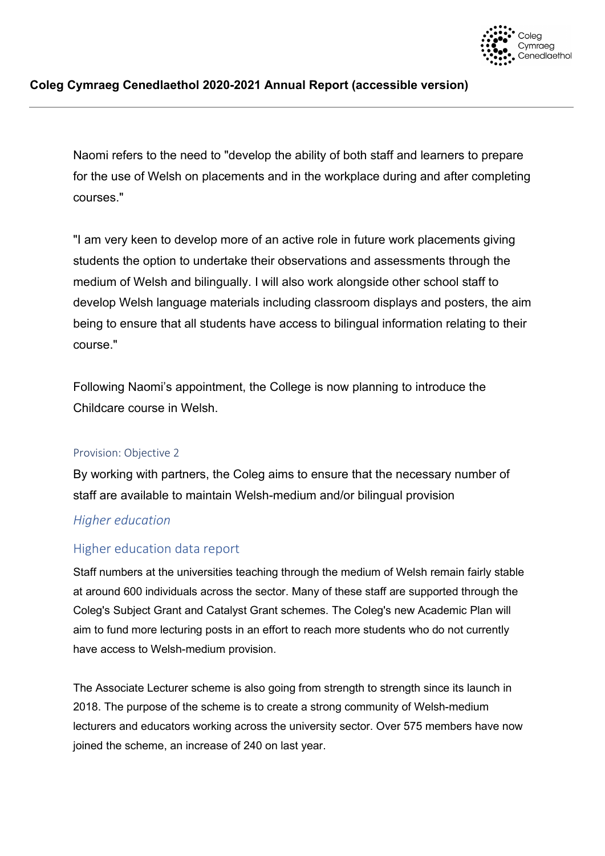

Naomi refers to the need to "develop the ability of both staff and learners to prepare for the use of Welsh on placements and in the workplace during and after completing courses."

"I am very keen to develop more of an active role in future work placements giving students the option to undertake their observations and assessments through the medium of Welsh and bilingually. I will also work alongside other school staff to develop Welsh language materials including classroom displays and posters, the aim being to ensure that all students have access to bilingual information relating to their course."

Following Naomi's appointment, the College is now planning to introduce the Childcare course in Welsh.

#### <span id="page-21-0"></span>Provision: Objective 2

By working with partners, the Coleg aims to ensure that the necessary number of staff are available to maintain Welsh-medium and/or bilingual provision

#### *Higher education*

## Higher education data report

Staff numbers at the universities teaching through the medium of Welsh remain fairly stable at around 600 individuals across the sector. Many of these staff are supported through the Coleg's Subject Grant and Catalyst Grant schemes. The Coleg's new Academic Plan will aim to fund more lecturing posts in an effort to reach more students who do not currently have access to Welsh-medium provision.

The Associate Lecturer scheme is also going from strength to strength since its launch in 2018. The purpose of the scheme is to create a strong community of Welsh-medium lecturers and educators working across the university sector. Over 575 members have now joined the scheme, an increase of 240 on last year.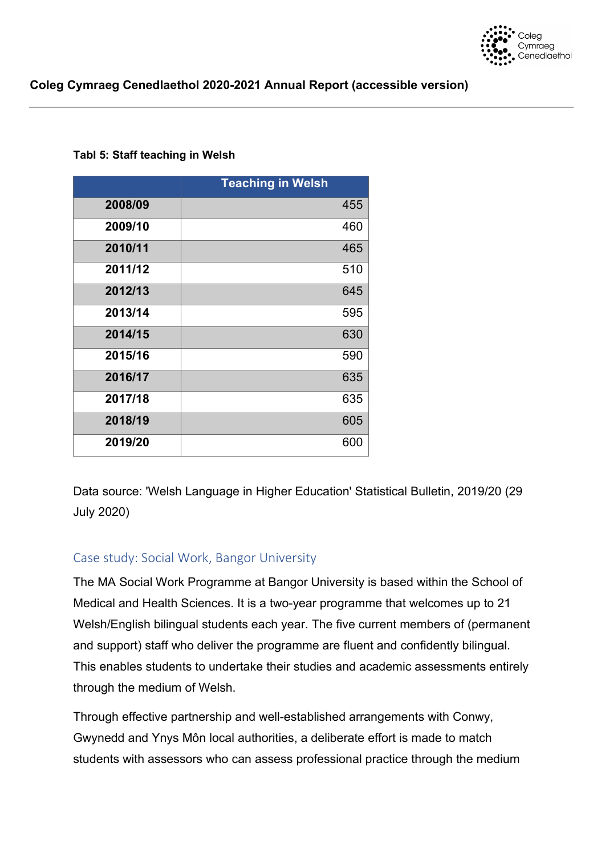

#### **Tabl 5: Staff teaching in Welsh**

|         | <b>Teaching in Welsh</b> |     |
|---------|--------------------------|-----|
| 2008/09 |                          | 455 |
| 2009/10 |                          | 460 |
| 2010/11 |                          | 465 |
| 2011/12 |                          | 510 |
| 2012/13 |                          | 645 |
| 2013/14 |                          | 595 |
| 2014/15 |                          | 630 |
| 2015/16 |                          | 590 |
| 2016/17 |                          | 635 |
| 2017/18 |                          | 635 |
| 2018/19 |                          | 605 |
| 2019/20 |                          | 600 |

Data source: 'Welsh Language in Higher Education' Statistical Bulletin, 2019/20 (29 July 2020)

## Case study: Social Work, Bangor University

The MA Social Work Programme at Bangor University is based within the School of Medical and Health Sciences. It is a two-year programme that welcomes up to 21 Welsh/English bilingual students each year. The five current members of (permanent and support) staff who deliver the programme are fluent and confidently bilingual. This enables students to undertake their studies and academic assessments entirely through the medium of Welsh.

Through effective partnership and well-established arrangements with Conwy, Gwynedd and Ynys Môn local authorities, a deliberate effort is made to match students with assessors who can assess professional practice through the medium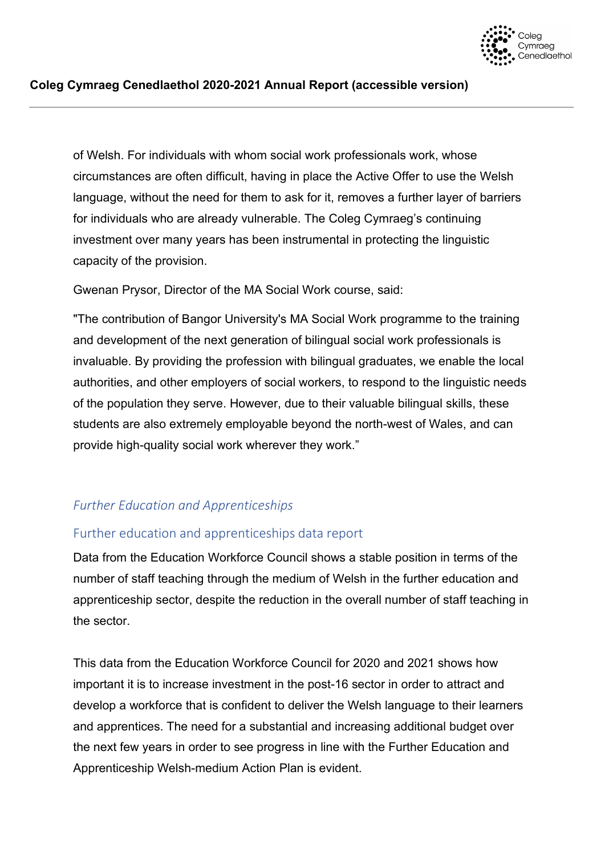

of Welsh. For individuals with whom social work professionals work, whose circumstances are often difficult, having in place the Active Offer to use the Welsh language, without the need for them to ask for it, removes a further layer of barriers for individuals who are already vulnerable. The Coleg Cymraeg's continuing investment over many years has been instrumental in protecting the linguistic capacity of the provision.

Gwenan Prysor, Director of the MA Social Work course, said:

"The contribution of Bangor University's MA Social Work programme to the training and development of the next generation of bilingual social work professionals is invaluable. By providing the profession with bilingual graduates, we enable the local authorities, and other employers of social workers, to respond to the linguistic needs of the population they serve. However, due to their valuable bilingual skills, these students are also extremely employable beyond the north-west of Wales, and can provide high-quality social work wherever they work."

## *Further Education and Apprenticeships*

## Further education and apprenticeships data report

Data from the Education Workforce Council shows a stable position in terms of the number of staff teaching through the medium of Welsh in the further education and apprenticeship sector, despite the reduction in the overall number of staff teaching in the sector.

This data from the Education Workforce Council for 2020 and 2021 shows how important it is to increase investment in the post-16 sector in order to attract and develop a workforce that is confident to deliver the Welsh language to their learners and apprentices. The need for a substantial and increasing additional budget over the next few years in order to see progress in line with the Further Education and Apprenticeship Welsh-medium Action Plan is evident.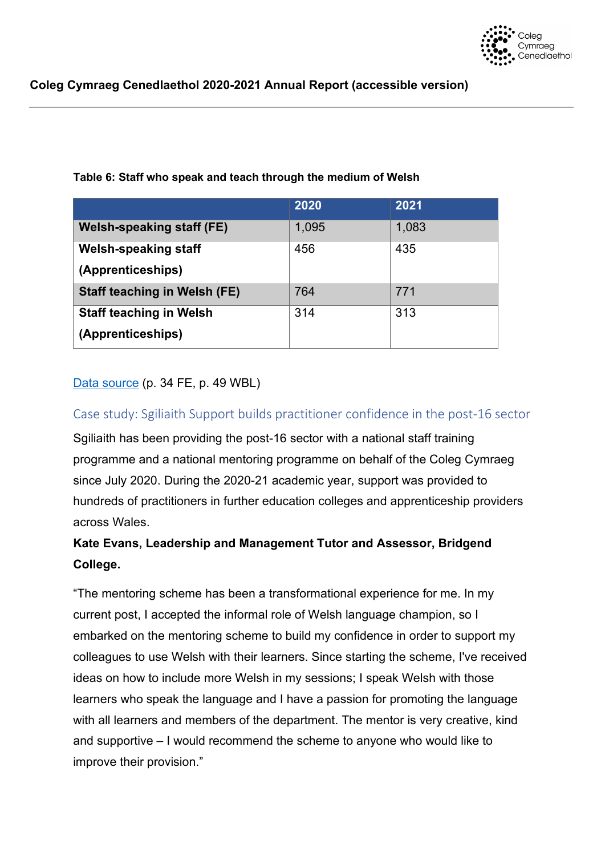

|                                     | 2020  | 2021  |
|-------------------------------------|-------|-------|
| Welsh-speaking staff (FE)           | 1,095 | 1,083 |
| <b>Welsh-speaking staff</b>         | 456   | 435   |
| (Apprenticeships)                   |       |       |
| <b>Staff teaching in Welsh (FE)</b> | 764   | 771   |
| <b>Staff teaching in Welsh</b>      | 314   | 313   |
| (Apprenticeships)                   |       |       |

## **Table 6: Staff who speak and teach through the medium of Welsh**

## [Data source](https://www.ewc.wales/site/index.php/en/research-and-statistics/workforce-statistics.html) (p. 34 FE, p. 49 WBL)

## Case study: Sgiliaith Support builds practitioner confidence in the post-16 sector

Sgiliaith has been providing the post-16 sector with a national staff training programme and a national mentoring programme on behalf of the Coleg Cymraeg since July 2020. During the 2020-21 academic year, support was provided to hundreds of practitioners in further education colleges and apprenticeship providers across Wales.

## **Kate Evans, Leadership and Management Tutor and Assessor, Bridgend College.**

"The mentoring scheme has been a transformational experience for me. In my current post, I accepted the informal role of Welsh language champion, so I embarked on the mentoring scheme to build my confidence in order to support my colleagues to use Welsh with their learners. Since starting the scheme, I've received ideas on how to include more Welsh in my sessions; I speak Welsh with those learners who speak the language and I have a passion for promoting the language with all learners and members of the department. The mentor is very creative, kind and supportive – I would recommend the scheme to anyone who would like to improve their provision."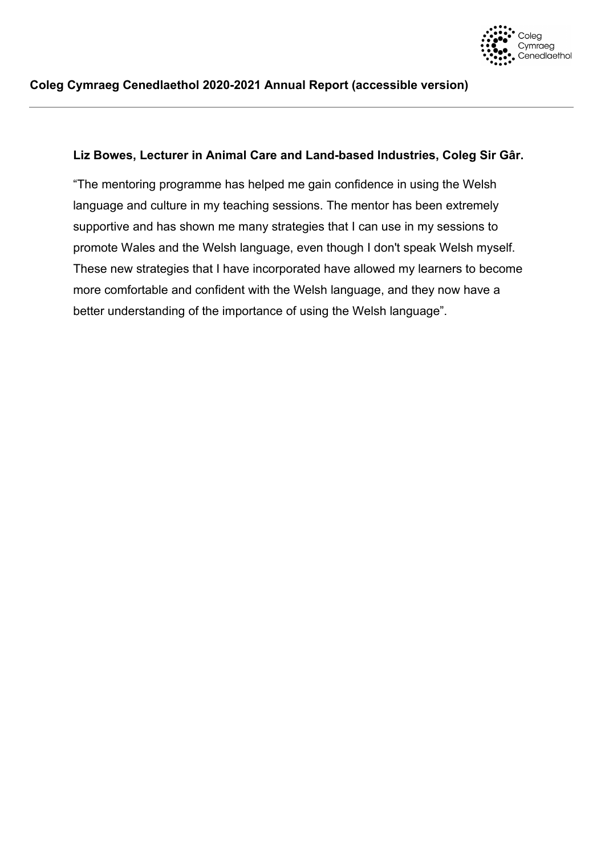

#### **Liz Bowes, Lecturer in Animal Care and Land-based Industries, Coleg Sir Gâr.**

"The mentoring programme has helped me gain confidence in using the Welsh language and culture in my teaching sessions. The mentor has been extremely supportive and has shown me many strategies that I can use in my sessions to promote Wales and the Welsh language, even though I don't speak Welsh myself. These new strategies that I have incorporated have allowed my learners to become more comfortable and confident with the Welsh language, and they now have a better understanding of the importance of using the Welsh language".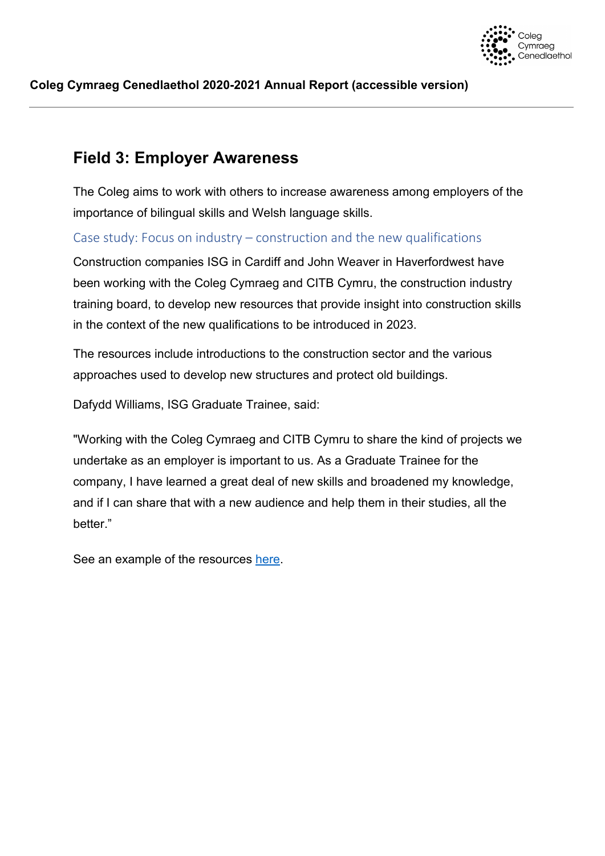

## <span id="page-26-0"></span>**Field 3: Employer Awareness**

The Coleg aims to work with others to increase awareness among employers of the importance of bilingual skills and Welsh language skills.

Case study: Focus on industry – construction and the new qualifications

Construction companies ISG in Cardiff and John Weaver in Haverfordwest have been working with the Coleg Cymraeg and CITB Cymru, the construction industry training board, to develop new resources that provide insight into construction skills in the context of the new qualifications to be introduced in 2023.

The resources include introductions to the construction sector and the various approaches used to develop new structures and protect old buildings.

Dafydd Williams, ISG Graduate Trainee, said:

"Working with the Coleg Cymraeg and CITB Cymru to share the kind of projects we undertake as an employer is important to us. As a Graduate Trainee for the company, I have learned a great deal of new skills and broadened my knowledge, and if I can share that with a new audience and help them in their studies, all the better."

See an example of the resources [here.](https://llyfrgell.porth.ac.uk/View.aspx?id=6108%7E4p%7EQgzvumJw)